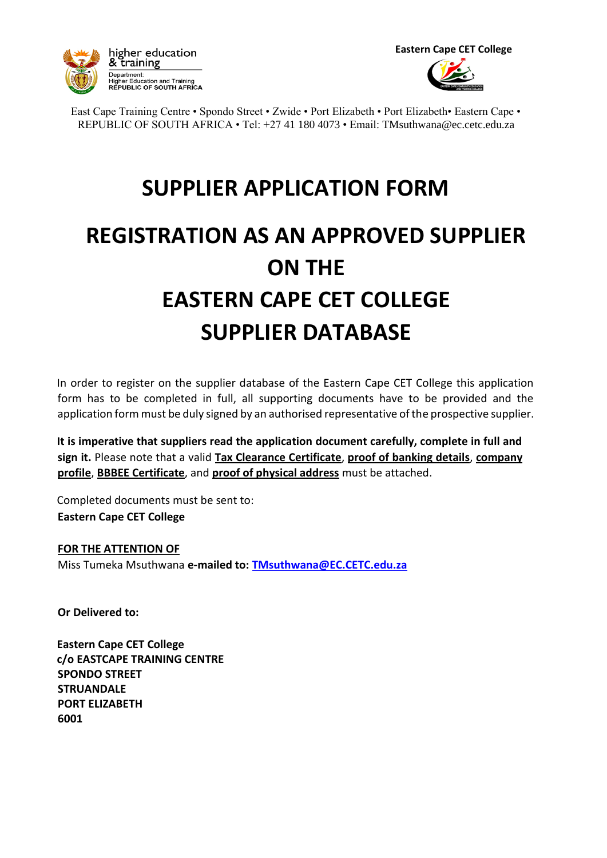



East Cape Training Centre • Spondo Street • Zwide • Port Elizabeth • Port Elizabeth• Eastern Cape • REPUBLIC OF SOUTH AFRICA • Tel: +27 41 180 4073 • Email: TMsuthwana@ec.cetc.edu.za

## **SUPPLIER APPLICATION FORM**

## **REGISTRATION AS AN APPROVED SUPPLIER ON THE EASTERN CAPE CET COLLEGE SUPPLIER DATABASE**

In order to register on the supplier database of the Eastern Cape CET College this application form has to be completed in full, all supporting documents have to be provided and the application form must be duly signed by an authorised representative of the prospective supplier.

**It is imperative that suppliers read the application document carefully, complete in full and sign it.** Please note that a valid **Tax Clearance Certificate**, **proof of banking details**, **company profile**, **BBBEE Certificate**, and **proof of physical address** must be attached.

Completed documents must be sent to: **Eastern Cape CET College** 

**FOR THE ATTENTION OF**

Miss Tumeka Msuthwana **e-mailed to: TMsuthwana@EC.CETC.edu.za**

**Or Delivered to:** 

**Eastern Cape CET College c/o EASTCAPE TRAINING CENTRE SPONDO STREET STRUANDALE PORT ELIZABETH 6001**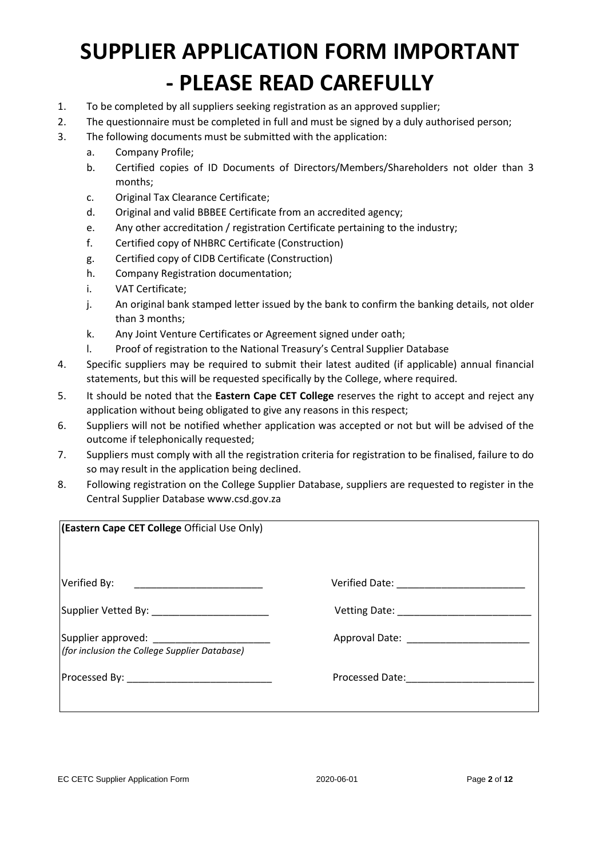## **SUPPLIER APPLICATION FORM IMPORTANT - PLEASE READ CAREFULLY**

- 1. To be completed by all suppliers seeking registration as an approved supplier;
- 2. The questionnaire must be completed in full and must be signed by a duly authorised person;
- 3. The following documents must be submitted with the application:
	- a. Company Profile;
	- b. Certified copies of ID Documents of Directors/Members/Shareholders not older than 3 months;
	- c. Original Tax Clearance Certificate;
	- d. Original and valid BBBEE Certificate from an accredited agency;
	- e. Any other accreditation / registration Certificate pertaining to the industry;
	- f. Certified copy of NHBRC Certificate (Construction)
	- g. Certified copy of CIDB Certificate (Construction)
	- h. Company Registration documentation;
	- i. VAT Certificate;
	- j. An original bank stamped letter issued by the bank to confirm the banking details, not older than 3 months;
	- k. Any Joint Venture Certificates or Agreement signed under oath;
	- l. Proof of registration to the National Treasury's Central Supplier Database
- 4. Specific suppliers may be required to submit their latest audited (if applicable) annual financial statements, but this will be requested specifically by the College, where required.
- 5. It should be noted that the **Eastern Cape CET College** reserves the right to accept and reject any application without being obligated to give any reasons in this respect;
- 6. Suppliers will not be notified whether application was accepted or not but will be advised of the outcome if telephonically requested;
- 7. Suppliers must comply with all the registration criteria for registration to be finalised, failure to do so may result in the application being declined.
- 8. Following registration on the College Supplier Database, suppliers are requested to register in the Central Supplier Database www.csd.gov.za

| (Eastern Cape CET College Official Use Only)                                             |                                                                                                                                                                                                                                |
|------------------------------------------------------------------------------------------|--------------------------------------------------------------------------------------------------------------------------------------------------------------------------------------------------------------------------------|
| Verified By:<br><u> 1980 - Andrea Andrews, amerikansk politik (</u>                      |                                                                                                                                                                                                                                |
|                                                                                          | Vetting Date: National Property of the Contract of the Contract of the Contract of the Contract of the Contract of the Contract of the Contract of the Contract of the Contract of the Contract of the Contract of the Contrac |
| Supplier approved: ____________________<br>(for inclusion the College Supplier Database) | Approval Date: Approval Date:                                                                                                                                                                                                  |
|                                                                                          | Processed Date: 2008. [19] Processed Date:                                                                                                                                                                                     |
|                                                                                          |                                                                                                                                                                                                                                |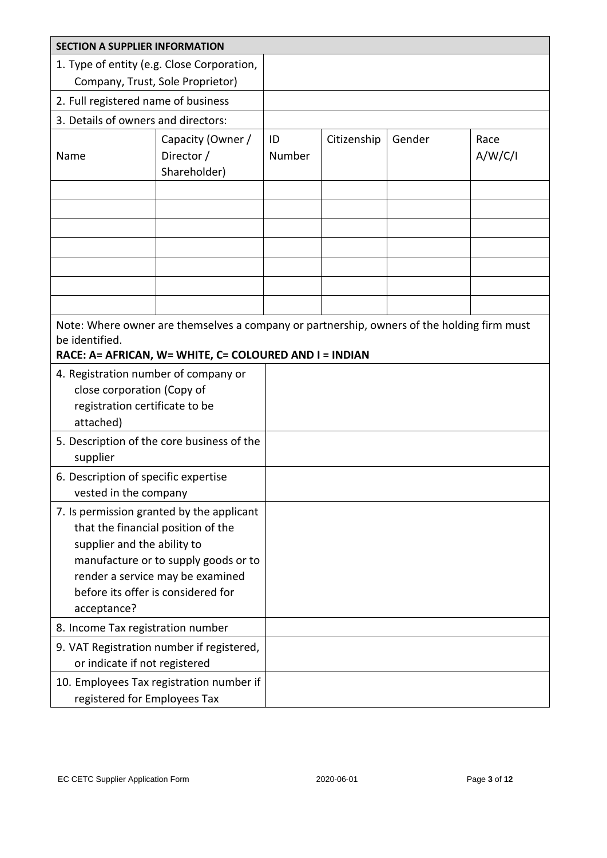| <b>SECTION A SUPPLIER INFORMATION</b>                                                                                                                                                                                                           |                                                 |              |             |        |                 |
|-------------------------------------------------------------------------------------------------------------------------------------------------------------------------------------------------------------------------------------------------|-------------------------------------------------|--------------|-------------|--------|-----------------|
| 1. Type of entity (e.g. Close Corporation,<br>Company, Trust, Sole Proprietor)                                                                                                                                                                  |                                                 |              |             |        |                 |
| 2. Full registered name of business                                                                                                                                                                                                             |                                                 |              |             |        |                 |
| 3. Details of owners and directors:                                                                                                                                                                                                             |                                                 |              |             |        |                 |
| Name                                                                                                                                                                                                                                            | Capacity (Owner /<br>Director /<br>Shareholder) | ID<br>Number | Citizenship | Gender | Race<br>A/W/C/I |
|                                                                                                                                                                                                                                                 |                                                 |              |             |        |                 |
| Note: Where owner are themselves a company or partnership, owners of the holding firm must<br>be identified.<br>RACE: A= AFRICAN, W= WHITE, C= COLOURED AND I = INDIAN<br>4. Registration number of company or<br>close corporation (Copy of    |                                                 |              |             |        |                 |
| registration certificate to be<br>attached)                                                                                                                                                                                                     |                                                 |              |             |        |                 |
| 5. Description of the core business of the<br>supplier                                                                                                                                                                                          |                                                 |              |             |        |                 |
| 6. Description of specific expertise<br>vested in the company                                                                                                                                                                                   |                                                 |              |             |        |                 |
| 7. Is permission granted by the applicant<br>that the financial position of the<br>supplier and the ability to<br>manufacture or to supply goods or to<br>render a service may be examined<br>before its offer is considered for<br>acceptance? |                                                 |              |             |        |                 |
| 8. Income Tax registration number                                                                                                                                                                                                               |                                                 |              |             |        |                 |
| or indicate if not registered                                                                                                                                                                                                                   | 9. VAT Registration number if registered,       |              |             |        |                 |
| registered for Employees Tax                                                                                                                                                                                                                    | 10. Employees Tax registration number if        |              |             |        |                 |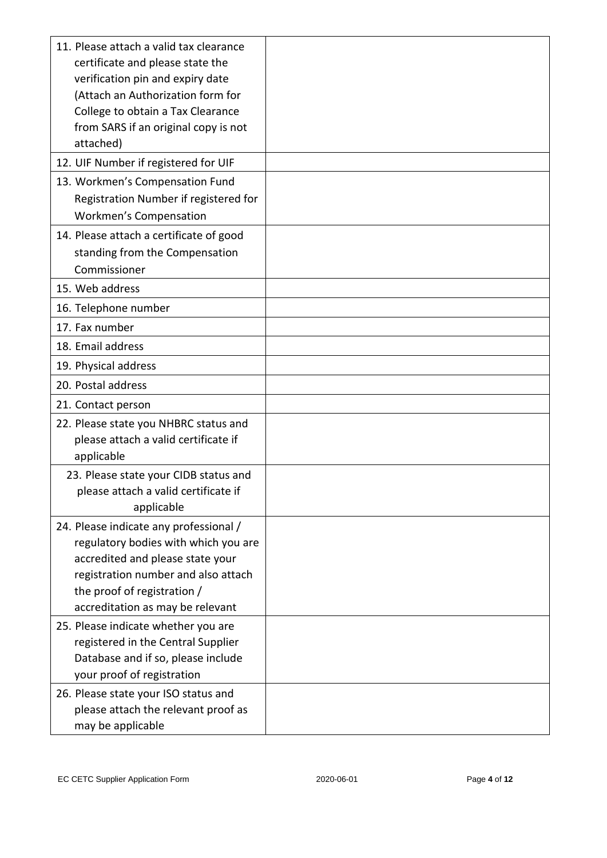| 11. Please attach a valid tax clearance<br>certificate and please state the<br>verification pin and expiry date<br>(Attach an Authorization form for<br>College to obtain a Tax Clearance<br>from SARS if an original copy is not<br>attached) |  |
|------------------------------------------------------------------------------------------------------------------------------------------------------------------------------------------------------------------------------------------------|--|
| 12. UIF Number if registered for UIF                                                                                                                                                                                                           |  |
| 13. Workmen's Compensation Fund<br>Registration Number if registered for<br>Workmen's Compensation                                                                                                                                             |  |
| 14. Please attach a certificate of good<br>standing from the Compensation<br>Commissioner                                                                                                                                                      |  |
| 15. Web address                                                                                                                                                                                                                                |  |
| 16. Telephone number                                                                                                                                                                                                                           |  |
| 17. Fax number                                                                                                                                                                                                                                 |  |
| 18. Email address                                                                                                                                                                                                                              |  |
| 19. Physical address                                                                                                                                                                                                                           |  |
| 20. Postal address                                                                                                                                                                                                                             |  |
| 21. Contact person                                                                                                                                                                                                                             |  |
| 22. Please state you NHBRC status and<br>please attach a valid certificate if<br>applicable                                                                                                                                                    |  |
| 23. Please state your CIDB status and<br>please attach a valid certificate if<br>applicable                                                                                                                                                    |  |
| 24. Please indicate any professional /<br>regulatory bodies with which you are<br>accredited and please state your<br>registration number and also attach<br>the proof of registration /<br>accreditation as may be relevant                   |  |
| 25. Please indicate whether you are<br>registered in the Central Supplier<br>Database and if so, please include<br>your proof of registration                                                                                                  |  |
| 26. Please state your ISO status and<br>please attach the relevant proof as<br>may be applicable                                                                                                                                               |  |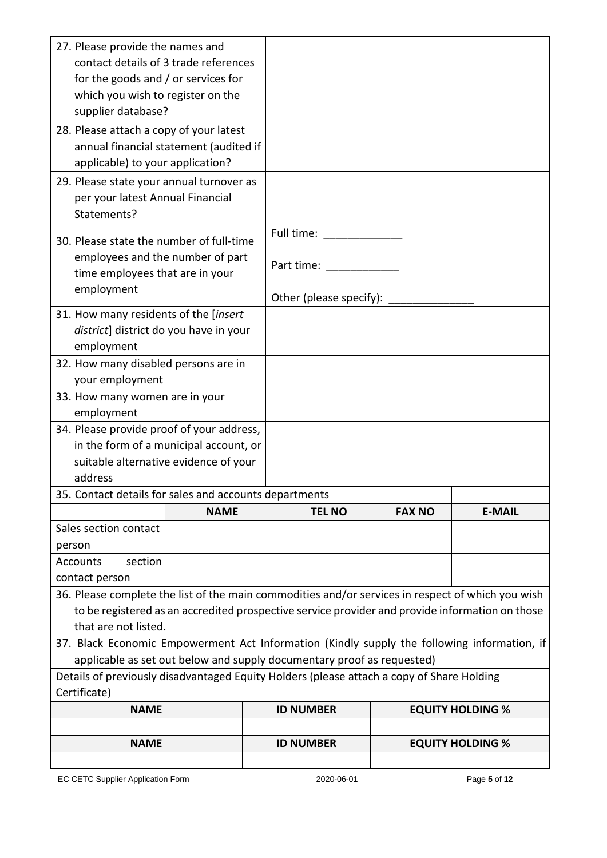| 27. Please provide the names and<br>contact details of 3 trade references<br>for the goods and / or services for<br>which you wish to register on the                                                                        |             |  |                                                                                                                                                                                                                                                           |               |                         |
|------------------------------------------------------------------------------------------------------------------------------------------------------------------------------------------------------------------------------|-------------|--|-----------------------------------------------------------------------------------------------------------------------------------------------------------------------------------------------------------------------------------------------------------|---------------|-------------------------|
| supplier database?<br>28. Please attach a copy of your latest<br>annual financial statement (audited if<br>applicable) to your application?                                                                                  |             |  |                                                                                                                                                                                                                                                           |               |                         |
| 29. Please state your annual turnover as<br>per your latest Annual Financial<br>Statements?                                                                                                                                  |             |  |                                                                                                                                                                                                                                                           |               |                         |
| 30. Please state the number of full-time<br>employees and the number of part<br>time employees that are in your<br>employment                                                                                                |             |  | Part time: and the same of the same of the same of the same of the same of the same of the same of the same of the same of the same of the same of the same of the same of the same of the same of the same of the same of the<br>Other (please specify): |               |                         |
| 31. How many residents of the [insert<br>district] district do you have in your<br>employment                                                                                                                                |             |  |                                                                                                                                                                                                                                                           |               |                         |
| 32. How many disabled persons are in<br>your employment<br>33. How many women are in your                                                                                                                                    |             |  |                                                                                                                                                                                                                                                           |               |                         |
| employment<br>34. Please provide proof of your address,<br>in the form of a municipal account, or<br>suitable alternative evidence of your<br>address                                                                        |             |  |                                                                                                                                                                                                                                                           |               |                         |
| 35. Contact details for sales and accounts departments                                                                                                                                                                       |             |  |                                                                                                                                                                                                                                                           |               |                         |
|                                                                                                                                                                                                                              | <b>NAME</b> |  | <b>TEL NO</b>                                                                                                                                                                                                                                             | <b>FAX NO</b> | <b>E-MAIL</b>           |
| Sales section contact                                                                                                                                                                                                        |             |  |                                                                                                                                                                                                                                                           |               |                         |
| person<br>section<br>Accounts<br>contact person                                                                                                                                                                              |             |  |                                                                                                                                                                                                                                                           |               |                         |
| 36. Please complete the list of the main commodities and/or services in respect of which you wish<br>to be registered as an accredited prospective service provider and provide information on those<br>that are not listed. |             |  |                                                                                                                                                                                                                                                           |               |                         |
| 37. Black Economic Empowerment Act Information (Kindly supply the following information, if                                                                                                                                  |             |  |                                                                                                                                                                                                                                                           |               |                         |
| applicable as set out below and supply documentary proof as requested)                                                                                                                                                       |             |  |                                                                                                                                                                                                                                                           |               |                         |
| Details of previously disadvantaged Equity Holders (please attach a copy of Share Holding                                                                                                                                    |             |  |                                                                                                                                                                                                                                                           |               |                         |
| Certificate)<br><b>NAME</b>                                                                                                                                                                                                  |             |  | <b>ID NUMBER</b>                                                                                                                                                                                                                                          |               | <b>EQUITY HOLDING %</b> |
|                                                                                                                                                                                                                              |             |  |                                                                                                                                                                                                                                                           |               |                         |
| <b>NAME</b>                                                                                                                                                                                                                  |             |  | <b>ID NUMBER</b>                                                                                                                                                                                                                                          |               | <b>EQUITY HOLDING %</b> |
|                                                                                                                                                                                                                              |             |  |                                                                                                                                                                                                                                                           |               |                         |

EC CETC Supplier Application Form 2020-06-01 Page **5** of **12**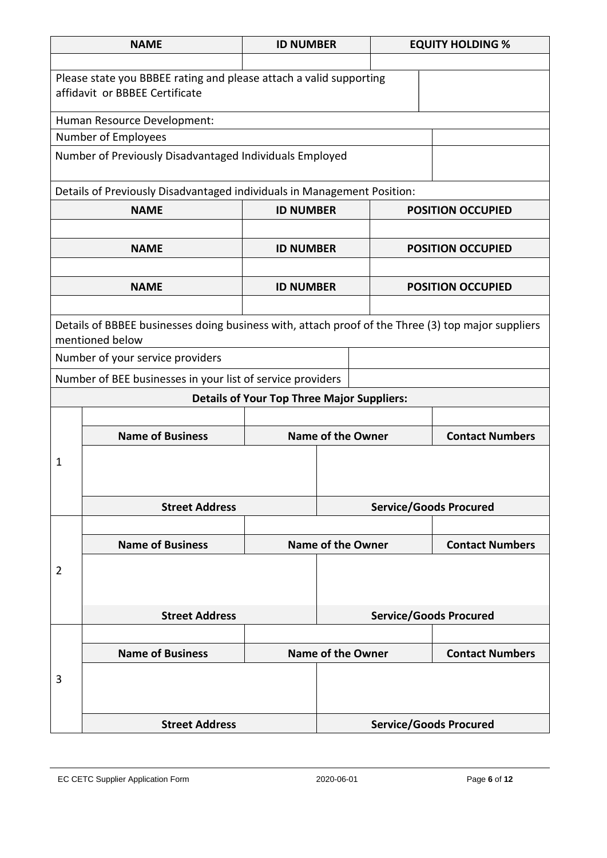|                                                   | <b>NAME</b>                                                                                                           | <b>ID NUMBER</b>         |                          | <b>EQUITY HOLDING %</b>       |
|---------------------------------------------------|-----------------------------------------------------------------------------------------------------------------------|--------------------------|--------------------------|-------------------------------|
|                                                   |                                                                                                                       |                          |                          |                               |
|                                                   | Please state you BBBEE rating and please attach a valid supporting<br>affidavit or BBBEE Certificate                  |                          |                          |                               |
|                                                   | Human Resource Development:                                                                                           |                          |                          |                               |
|                                                   | Number of Employees                                                                                                   |                          |                          |                               |
|                                                   | Number of Previously Disadvantaged Individuals Employed                                                               |                          |                          |                               |
|                                                   | Details of Previously Disadvantaged individuals in Management Position:                                               |                          |                          |                               |
|                                                   | <b>NAME</b>                                                                                                           | <b>ID NUMBER</b>         | <b>POSITION OCCUPIED</b> |                               |
|                                                   |                                                                                                                       |                          |                          |                               |
|                                                   | <b>NAME</b>                                                                                                           | <b>ID NUMBER</b>         |                          | <b>POSITION OCCUPIED</b>      |
|                                                   |                                                                                                                       |                          |                          |                               |
|                                                   | <b>NAME</b>                                                                                                           | <b>ID NUMBER</b>         |                          | <b>POSITION OCCUPIED</b>      |
|                                                   |                                                                                                                       |                          |                          |                               |
|                                                   | Details of BBBEE businesses doing business with, attach proof of the Three (3) top major suppliers<br>mentioned below |                          |                          |                               |
|                                                   | Number of your service providers                                                                                      |                          |                          |                               |
|                                                   | Number of BEE businesses in your list of service providers                                                            |                          |                          |                               |
| <b>Details of Your Top Three Major Suppliers:</b> |                                                                                                                       |                          |                          |                               |
|                                                   |                                                                                                                       |                          |                          |                               |
|                                                   | <b>Name of Business</b>                                                                                               | <b>Name of the Owner</b> |                          | <b>Contact Numbers</b>        |
| 1                                                 |                                                                                                                       |                          |                          |                               |
|                                                   |                                                                                                                       |                          |                          |                               |
|                                                   |                                                                                                                       |                          |                          |                               |
|                                                   | <b>Street Address</b>                                                                                                 |                          |                          | <b>Service/Goods Procured</b> |
|                                                   |                                                                                                                       |                          |                          |                               |
|                                                   | <b>Name of Business</b>                                                                                               | <b>Name of the Owner</b> |                          | <b>Contact Numbers</b>        |
| $\overline{2}$                                    |                                                                                                                       |                          |                          |                               |
|                                                   |                                                                                                                       |                          |                          |                               |
|                                                   |                                                                                                                       |                          |                          |                               |
|                                                   | <b>Street Address</b>                                                                                                 |                          |                          | <b>Service/Goods Procured</b> |
|                                                   |                                                                                                                       |                          |                          |                               |
|                                                   | <b>Name of Business</b>                                                                                               | <b>Name of the Owner</b> |                          | <b>Contact Numbers</b>        |
| 3                                                 |                                                                                                                       |                          |                          |                               |
|                                                   |                                                                                                                       |                          |                          |                               |
|                                                   | <b>Street Address</b>                                                                                                 |                          |                          | <b>Service/Goods Procured</b> |
|                                                   |                                                                                                                       |                          |                          |                               |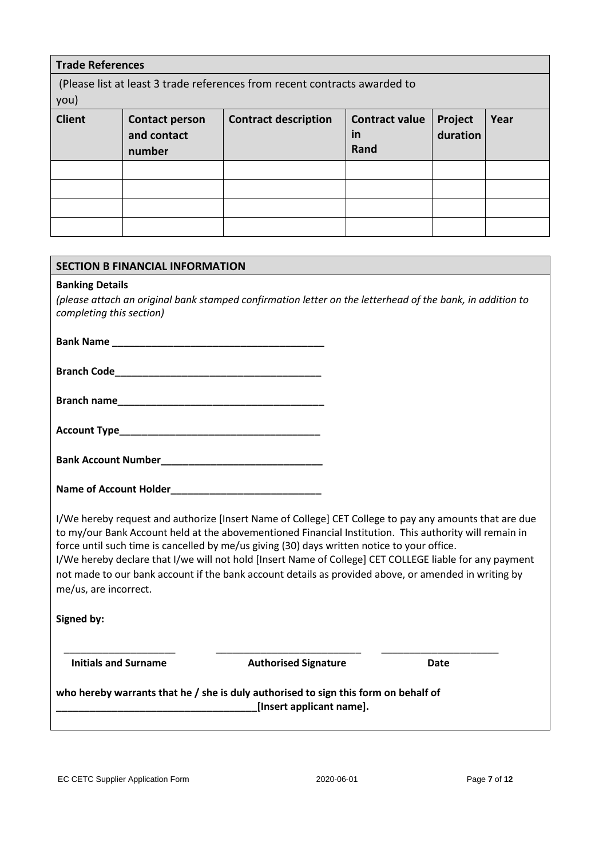| <b>Trade References</b>                            |                                                |                                                                                                                                                                                                                                                                                                                                                                                                                                                                                                                                    |                                            |                     |      |
|----------------------------------------------------|------------------------------------------------|------------------------------------------------------------------------------------------------------------------------------------------------------------------------------------------------------------------------------------------------------------------------------------------------------------------------------------------------------------------------------------------------------------------------------------------------------------------------------------------------------------------------------------|--------------------------------------------|---------------------|------|
| you)                                               |                                                | (Please list at least 3 trade references from recent contracts awarded to                                                                                                                                                                                                                                                                                                                                                                                                                                                          |                                            |                     |      |
| <b>Client</b>                                      | <b>Contact person</b><br>and contact<br>number | <b>Contract description</b>                                                                                                                                                                                                                                                                                                                                                                                                                                                                                                        | <b>Contract value</b><br><u>in</u><br>Rand | Project<br>duration | Year |
|                                                    |                                                |                                                                                                                                                                                                                                                                                                                                                                                                                                                                                                                                    |                                            |                     |      |
|                                                    |                                                |                                                                                                                                                                                                                                                                                                                                                                                                                                                                                                                                    |                                            |                     |      |
|                                                    |                                                |                                                                                                                                                                                                                                                                                                                                                                                                                                                                                                                                    |                                            |                     |      |
|                                                    |                                                |                                                                                                                                                                                                                                                                                                                                                                                                                                                                                                                                    |                                            |                     |      |
|                                                    | <b>SECTION B FINANCIAL INFORMATION</b>         |                                                                                                                                                                                                                                                                                                                                                                                                                                                                                                                                    |                                            |                     |      |
| <b>Banking Details</b><br>completing this section) |                                                | (please attach an original bank stamped confirmation letter on the letterhead of the bank, in addition to                                                                                                                                                                                                                                                                                                                                                                                                                          |                                            |                     |      |
|                                                    |                                                |                                                                                                                                                                                                                                                                                                                                                                                                                                                                                                                                    |                                            |                     |      |
|                                                    |                                                |                                                                                                                                                                                                                                                                                                                                                                                                                                                                                                                                    |                                            |                     |      |
|                                                    |                                                |                                                                                                                                                                                                                                                                                                                                                                                                                                                                                                                                    |                                            |                     |      |
|                                                    | <b>Bank Account Number Example 2014</b>        |                                                                                                                                                                                                                                                                                                                                                                                                                                                                                                                                    |                                            |                     |      |
|                                                    |                                                | Name of Account Holder Name of Account Holder                                                                                                                                                                                                                                                                                                                                                                                                                                                                                      |                                            |                     |      |
| me/us, are incorrect.                              |                                                | I/We hereby request and authorize [Insert Name of College] CET College to pay any amounts that are due<br>to my/our Bank Account held at the abovementioned Financial Institution. This authority will remain in<br>force until such time is cancelled by me/us giving (30) days written notice to your office.<br>I/We hereby declare that I/we will not hold [Insert Name of College] CET COLLEGE liable for any payment<br>not made to our bank account if the bank account details as provided above, or amended in writing by |                                            |                     |      |
| Signed by:                                         |                                                |                                                                                                                                                                                                                                                                                                                                                                                                                                                                                                                                    |                                            |                     |      |
| <b>Initials and Surname</b>                        |                                                | <b>Authorised Signature</b>                                                                                                                                                                                                                                                                                                                                                                                                                                                                                                        |                                            | Date                |      |
|                                                    |                                                | who hereby warrants that he / she is duly authorised to sign this form on behalf of<br>[Insert applicant name].                                                                                                                                                                                                                                                                                                                                                                                                                    |                                            |                     |      |
|                                                    |                                                |                                                                                                                                                                                                                                                                                                                                                                                                                                                                                                                                    |                                            |                     |      |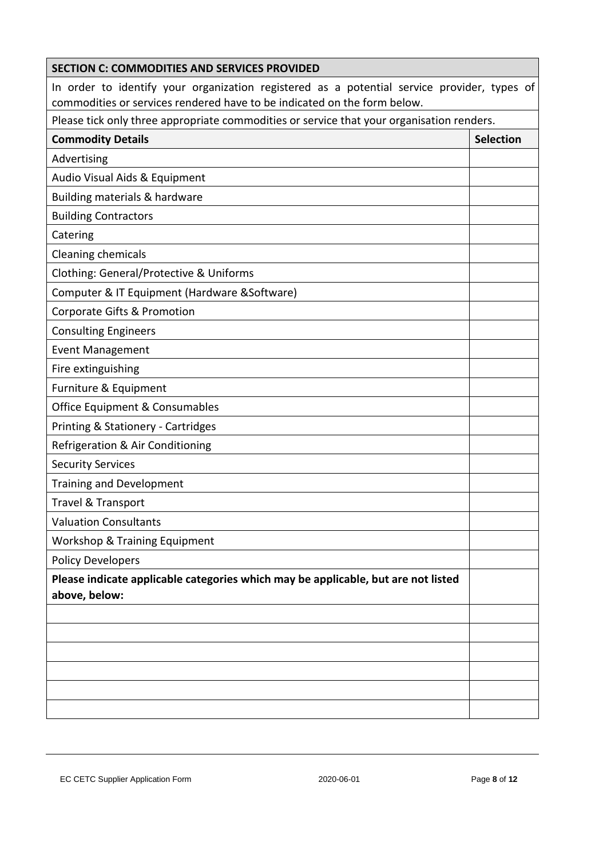| <b>SECTION C: COMMODITIES AND SERVICES PROVIDED</b>                                                                                                                     |                  |
|-------------------------------------------------------------------------------------------------------------------------------------------------------------------------|------------------|
| In order to identify your organization registered as a potential service provider, types of<br>commodities or services rendered have to be indicated on the form below. |                  |
| Please tick only three appropriate commodities or service that your organisation renders.                                                                               |                  |
| <b>Commodity Details</b>                                                                                                                                                | <b>Selection</b> |
| Advertising                                                                                                                                                             |                  |
| Audio Visual Aids & Equipment                                                                                                                                           |                  |
| Building materials & hardware                                                                                                                                           |                  |
| <b>Building Contractors</b>                                                                                                                                             |                  |
| Catering                                                                                                                                                                |                  |
| Cleaning chemicals                                                                                                                                                      |                  |
| Clothing: General/Protective & Uniforms                                                                                                                                 |                  |
| Computer & IT Equipment (Hardware & Software)                                                                                                                           |                  |
| Corporate Gifts & Promotion                                                                                                                                             |                  |
| <b>Consulting Engineers</b>                                                                                                                                             |                  |
| <b>Event Management</b>                                                                                                                                                 |                  |
| Fire extinguishing                                                                                                                                                      |                  |
| Furniture & Equipment                                                                                                                                                   |                  |
| Office Equipment & Consumables                                                                                                                                          |                  |
| Printing & Stationery - Cartridges                                                                                                                                      |                  |
| Refrigeration & Air Conditioning                                                                                                                                        |                  |
| <b>Security Services</b>                                                                                                                                                |                  |
| <b>Training and Development</b>                                                                                                                                         |                  |
| Travel & Transport                                                                                                                                                      |                  |
| <b>Valuation Consultants</b>                                                                                                                                            |                  |
| Workshop & Training Equipment                                                                                                                                           |                  |
| <b>Policy Developers</b>                                                                                                                                                |                  |
| Please indicate applicable categories which may be applicable, but are not listed<br>above, below:                                                                      |                  |
|                                                                                                                                                                         |                  |
|                                                                                                                                                                         |                  |
|                                                                                                                                                                         |                  |
|                                                                                                                                                                         |                  |
|                                                                                                                                                                         |                  |
|                                                                                                                                                                         |                  |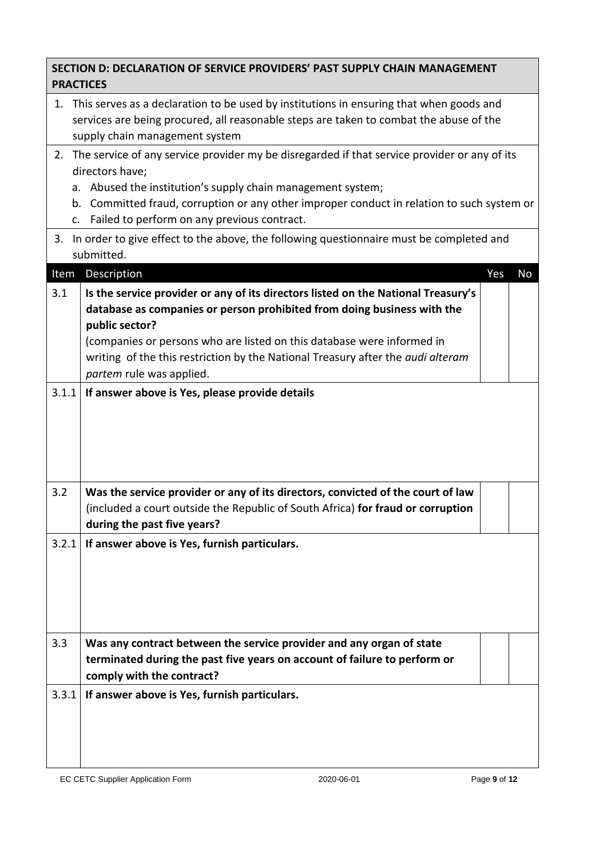| <b>PRACTICES</b> | SECTION D: DECLARATION OF SERVICE PROVIDERS' PAST SUPPLY CHAIN MANAGEMENT                                                                                                                                                                                                                                                                                                              |            |              |
|------------------|----------------------------------------------------------------------------------------------------------------------------------------------------------------------------------------------------------------------------------------------------------------------------------------------------------------------------------------------------------------------------------------|------------|--------------|
|                  | 1. This serves as a declaration to be used by institutions in ensuring that when goods and<br>services are being procured, all reasonable steps are taken to combat the abuse of the<br>supply chain management system                                                                                                                                                                 |            |              |
| 2.<br>b.<br>c.   | The service of any service provider my be disregarded if that service provider or any of its<br>directors have;<br>a. Abused the institution's supply chain management system;<br>Committed fraud, corruption or any other improper conduct in relation to such system or<br>Failed to perform on any previous contract.                                                               |            |              |
|                  | 3. In order to give effect to the above, the following questionnaire must be completed and<br>submitted.                                                                                                                                                                                                                                                                               |            |              |
| Item<br>3.1      | Description<br>Is the service provider or any of its directors listed on the National Treasury's<br>database as companies or person prohibited from doing business with the<br>public sector?<br>(companies or persons who are listed on this database were informed in<br>writing of the this restriction by the National Treasury after the audi alteram<br>partem rule was applied. |            | Yes<br>No    |
| 3.1.1            | If answer above is Yes, please provide details                                                                                                                                                                                                                                                                                                                                         |            |              |
| 3.2              | Was the service provider or any of its directors, convicted of the court of law<br>(included a court outside the Republic of South Africa) for fraud or corruption<br>during the past five years?                                                                                                                                                                                      |            |              |
| 3.2.1            | If answer above is Yes, furnish particulars.                                                                                                                                                                                                                                                                                                                                           |            |              |
| 3.3              | Was any contract between the service provider and any organ of state<br>terminated during the past five years on account of failure to perform or<br>comply with the contract?                                                                                                                                                                                                         |            |              |
| 3.3.1            | If answer above is Yes, furnish particulars.                                                                                                                                                                                                                                                                                                                                           |            |              |
|                  | EC CETC Supplier Application Form                                                                                                                                                                                                                                                                                                                                                      | 2020-06-01 | Page 9 of 12 |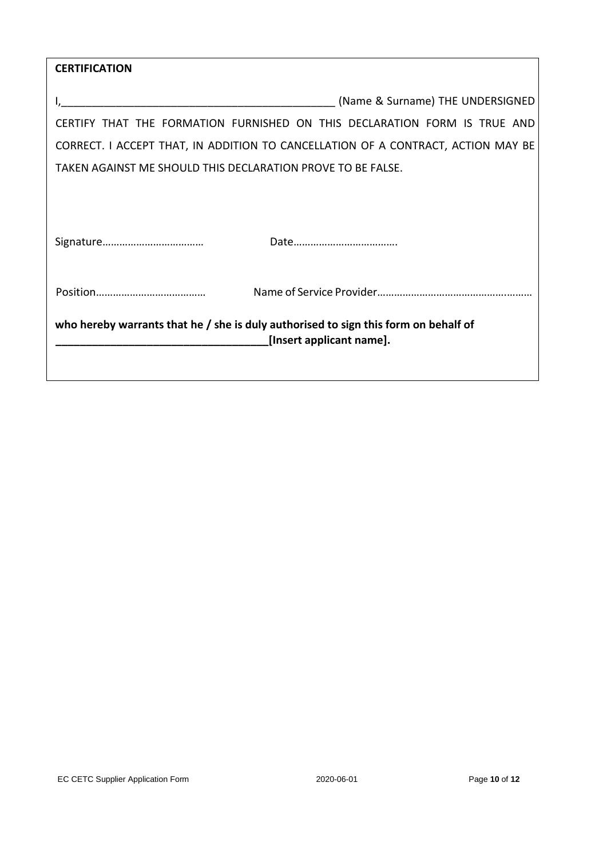| <b>CERTIFICATION</b>                                                                |  |
|-------------------------------------------------------------------------------------|--|
| (Name & Surname) THE UNDERSIGNED                                                    |  |
| CERTIFY THAT THE FORMATION FURNISHED ON THIS DECLARATION FORM IS TRUE AND           |  |
| CORRECT. I ACCEPT THAT, IN ADDITION TO CANCELLATION OF A CONTRACT, ACTION MAY BE    |  |
| TAKEN AGAINST ME SHOULD THIS DECLARATION PROVE TO BE FALSE.                         |  |
|                                                                                     |  |
|                                                                                     |  |
|                                                                                     |  |
|                                                                                     |  |
| who hereby warrants that he / she is duly authorised to sign this form on behalf of |  |
| [Insert applicant name].                                                            |  |
|                                                                                     |  |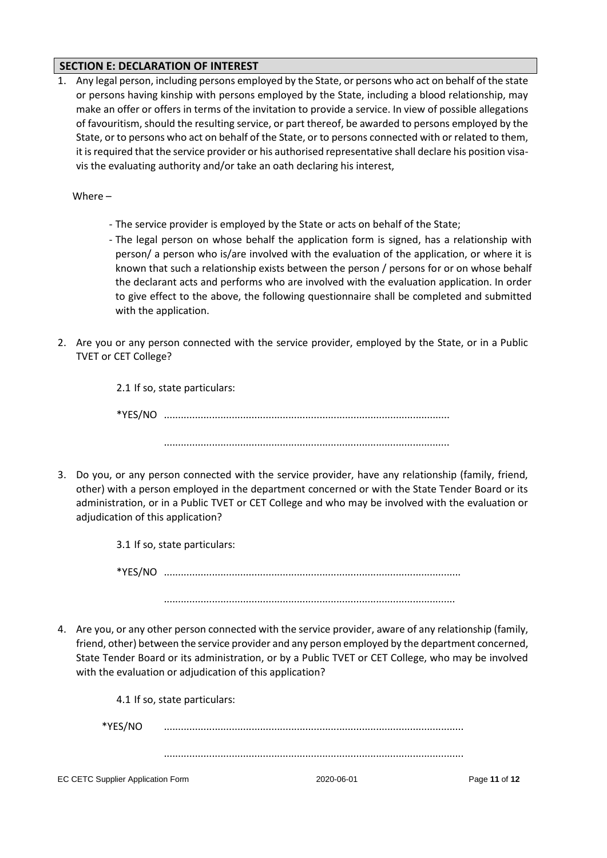## **SECTION E: DECLARATION OF INTEREST**

1. Any legal person, including persons employed by the State, or persons who act on behalf of the state or persons having kinship with persons employed by the State, including a blood relationship, may make an offer or offers in terms of the invitation to provide a service. In view of possible allegations of favouritism, should the resulting service, or part thereof, be awarded to persons employed by the State, or to persons who act on behalf of the State, or to persons connected with or related to them, it isrequired that the service provider or his authorised representative shall declare his position visavis the evaluating authority and/or take an oath declaring his interest,

Where –

- The service provider is employed by the State or acts on behalf of the State;
- The legal person on whose behalf the application form is signed, has a relationship with person/ a person who is/are involved with the evaluation of the application, or where it is known that such a relationship exists between the person / persons for or on whose behalf the declarant acts and performs who are involved with the evaluation application. In order to give effect to the above, the following questionnaire shall be completed and submitted with the application.
- 2. Are you or any person connected with the service provider, employed by the State, or in a Public TVET or CET College?

|         | 2.1 If so, state particulars: |
|---------|-------------------------------|
| *YES/NO |                               |
|         |                               |

3. Do you, or any person connected with the service provider, have any relationship (family, friend, other) with a person employed in the department concerned or with the State Tender Board or its administration, or in a Public TVET or CET College and who may be involved with the evaluation or adjudication of this application?

3.1 If so, state particulars:

\*YES/NO .........................................................................................................

.......................................................................................................

4. Are you, or any other person connected with the service provider, aware of any relationship (family, friend, other) between the service provider and any person employed by the department concerned, State Tender Board or its administration, or by a Public TVET or CET College, who may be involved with the evaluation or adjudication of this application?

EC CETC Supplier Application Form 2020-06-01 Page **11** of **12**  4.1 If so, state particulars: \*YES/NO .......................................................................................................... ..........................................................................................................